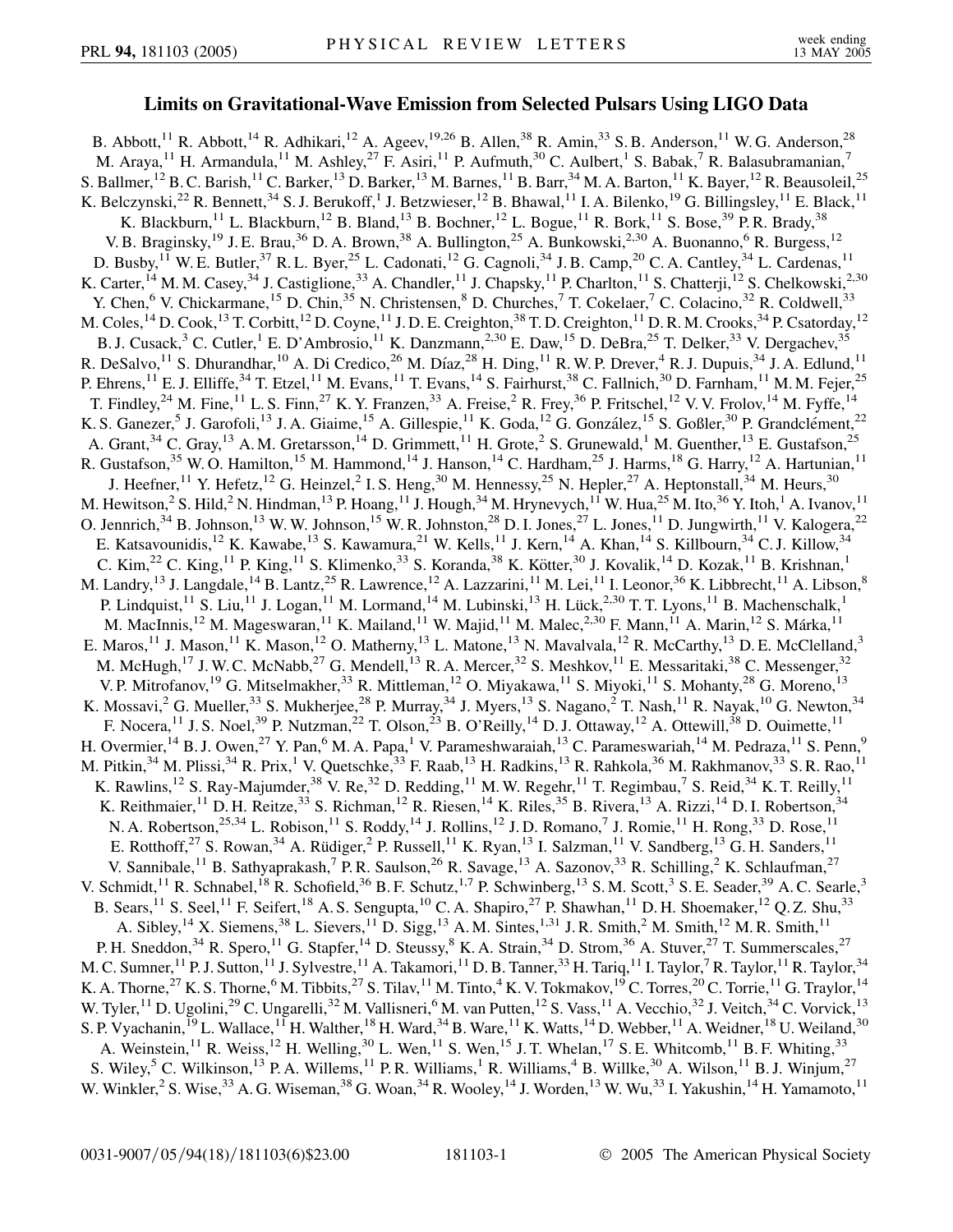## **Limits on Gravitational-Wave Emission from Selected Pulsars Using LIGO Data**

B. Abbott,<sup>11</sup> R. Abbott,<sup>14</sup> R. Adhikari,<sup>12</sup> A. Ageev,<sup>19,26</sup> B. Allen,<sup>38</sup> R. Amin,<sup>33</sup> S.B. Anderson,<sup>11</sup> W. G. Anderson,<sup>28</sup> M. Araya,<sup>11</sup> H. Armandula,<sup>11</sup> M. Ashley,<sup>27</sup> F. Asiri,<sup>11</sup> P. Aufmuth,<sup>30</sup> C. Aulbert,<sup>1</sup> S. Babak,<sup>7</sup> R. Balasubramanian,<sup>7</sup> S. Ballmer,<sup>12</sup> B. C. Barish,<sup>11</sup> C. Barker,<sup>13</sup> D. Barker,<sup>13</sup> M. Barnes,<sup>11</sup> B. Barr,<sup>34</sup> M. A. Barton,<sup>11</sup> K. Bayer,<sup>12</sup> R. Beausoleil,<sup>25</sup> K. Belczynski,<sup>22</sup> R. Bennett,<sup>34</sup> S. J. Berukoff,<sup>1</sup> J. Betzwieser,<sup>12</sup> B. Bhawal,<sup>11</sup> I. A. Bilenko,<sup>19</sup> G. Billingsley,<sup>11</sup> E. Black,<sup>11</sup> K. Blackburn,  $^{11}$  L. Blackburn,  $^{12}$  B. Bland,  $^{13}$  B. Bochner,  $^{12}$  L. Bogue,  $^{11}$  R. Bork,  $^{11}$  S. Bose,  $^{39}$  P. R. Brady,  $^{38}$ V. B. Braginsky,<sup>19</sup> J. E. Brau,<sup>36</sup> D. A. Brown,<sup>38</sup> A. Bullington,<sup>25</sup> A. Bunkowski,<sup>2,30</sup> A. Buonanno,<sup>6</sup> R. Burgess,<sup>12</sup> D. Busby,<sup>11</sup> W. E. Butler,<sup>37</sup> R. L. Byer,<sup>25</sup> L. Cadonati,<sup>12</sup> G. Cagnoli,<sup>34</sup> J. B. Camp,<sup>20</sup> C. A. Cantley,<sup>34</sup> L. Cardenas,<sup>11</sup> K. Carter, <sup>14</sup> M. M. Casey, <sup>34</sup> J. Castiglione, <sup>33</sup> A. Chandler, <sup>11</sup> J. Chapsky, <sup>11</sup> P. Charlton, <sup>11</sup> S. Chatterji, <sup>12</sup> S. Chelkowski, <sup>2,30</sup> Y. Chen, <sup>6</sup> V. Chickarmane, <sup>15</sup> D. Chin, <sup>35</sup> N. Christensen, <sup>8</sup> D. Churches, <sup>7</sup> T. Cokelaer, <sup>7</sup> C. Colacino, <sup>32</sup> R. Coldwell, <sup>33</sup> M. Coles,<sup>14</sup> D. Cook,<sup>13</sup> T. Corbitt,<sup>12</sup> D. Coyne,<sup>11</sup> J. D. E. Creighton,<sup>38</sup> T. D. Creighton,<sup>11</sup> D. R. M. Crooks,<sup>34</sup> P. Csatorday,<sup>12</sup> B. J. Cusack,<sup>3</sup> C. Cutler,<sup>1</sup> E. D'Ambrosio,<sup>11</sup> K. Danzmann,<sup>2,30</sup> E. Daw,<sup>15</sup> D. DeBra,<sup>25</sup> T. Delker,<sup>33</sup> V. Dergachev,<sup>35</sup> R. DeSalvo,<sup>11</sup> S. Dhurandhar,<sup>10</sup> A. Di Credico,<sup>26</sup> M. Díaz,<sup>28</sup> H. Ding,<sup>11</sup> R. W. P. Drever,<sup>4</sup> R. J. Dupuis,<sup>34</sup> J. A. Edlund,<sup>11</sup> P. Ehrens,<sup>11</sup> E. J. Elliffe,<sup>34</sup> T. Etzel,<sup>11</sup> M. Evans,<sup>11</sup> T. Evans,<sup>14</sup> S. Fairhurst,<sup>38</sup> C. Fallnich,<sup>30</sup> D. Farnham,<sup>11</sup> M. M. Fejer,<sup>25</sup> T. Findley,<sup>24</sup> M. Fine,<sup>11</sup> L. S. Finn,<sup>27</sup> K. Y. Franzen,<sup>33</sup> A. Freise,<sup>2</sup> R. Frey,<sup>36</sup> P. Fritschel,<sup>12</sup> V. V. Frolov,<sup>14</sup> M. Fyffe,<sup>14</sup> K. S. Ganezer,<sup>5</sup> J. Garofoli,<sup>13</sup> J. A. Giaime,<sup>15</sup> A. Gillespie,<sup>11</sup> K. Goda,<sup>12</sup> G. González,<sup>15</sup> S. Goßler,<sup>30</sup> P. Grandclément,<sup>22</sup> A. Grant,  $34$  C. Gray,  $13$  A. M. Gretarsson,  $14$  D. Grimmett,  $11$  H. Grote,  $2$  S. Grunewald,  $1$  M. Guenther,  $13$  E. Gustafson,  $25$ R. Gustafson,<sup>35</sup> W. O. Hamilton,<sup>15</sup> M. Hammond,<sup>14</sup> J. Hanson,<sup>14</sup> C. Hardham,<sup>25</sup> J. Harms,<sup>18</sup> G. Harry,<sup>12</sup> A. Hartunian,<sup>11</sup> J. Heefner,  $^{11}$  Y. Hefetz,  $^{12}$  G. Heinzel,  $^{2}$  I. S. Heng,  $^{30}$  M. Hennessy,  $^{25}$  N. Hepler,  $^{27}$  A. Heptonstall,  $^{34}$  M. Heurs,  $^{30}$ M. Hewitson,<sup>2</sup> S. Hild,<sup>2</sup> N. Hindman,<sup>13</sup> P. Hoang,<sup>11</sup> J. Hough,<sup>34</sup> M. Hrynevych,<sup>11</sup> W. Hua,<sup>25</sup> M. Ito,<sup>36</sup> Y. Itoh,<sup>1</sup> A. Ivanov,<sup>11</sup> O. Jennrich,<sup>34</sup> B. Johnson,<sup>13</sup> W. W. Johnson,<sup>15</sup> W. R. Johnston,<sup>28</sup> D. I. Jones,<sup>27</sup> L. Jones,<sup>11</sup> D. Jungwirth,<sup>11</sup> V. Kalogera,<sup>22</sup> E. Katsavounidis,<sup>12</sup> K. Kawabe,<sup>13</sup> S. Kawamura,<sup>21</sup> W. Kells,<sup>11</sup> J. Kern,<sup>14</sup> A. Khan,<sup>14</sup> S. Killbourn,<sup>34</sup> C. J. Killow,<sup>34</sup> C. Kim,<sup>22</sup> C. King,<sup>11</sup> P. King,<sup>11</sup> S. Klimenko,<sup>33</sup> S. Koranda,<sup>38</sup> K. Kötter,<sup>30</sup> J. Kovalik,<sup>14</sup> D. Kozak,<sup>11</sup> B. Krishnan,<sup>1</sup> M. Landry,<sup>13</sup> J. Langdale,<sup>14</sup> B. Lantz,<sup>25</sup> R. Lawrence,<sup>12</sup> A. Lazzarini,<sup>11</sup> M. Lei,<sup>11</sup> I. Leonor,<sup>36</sup> K. Libbrecht,<sup>11</sup> A. Libson,<sup>8</sup> P. Lindquist,<sup>11</sup> S. Liu,<sup>11</sup> J. Logan,<sup>11</sup> M. Lormand,<sup>14</sup> M. Lubinski,<sup>13</sup> H. Lück,<sup>2,30</sup> T. T. Lyons,<sup>11</sup> B. Machenschalk,<sup>1</sup> M. MacInnis,<sup>12</sup> M. Mageswaran,<sup>11</sup> K. Mailand,<sup>11</sup> W. Majid,<sup>11</sup> M. Malec,<sup>2,30</sup> F. Mann,<sup>11</sup> A. Marin,<sup>12</sup> S. Márka,<sup>11</sup> E. Maros,  $^{11}$  J. Mason,  $^{11}$  K. Mason,  $^{12}$  O. Matherny,  $^{13}$  L. Matone,  $^{13}$  N. Mavalvala,  $^{12}$  R. McCarthy,  $^{13}$  D. E. McClelland,  $^{3}$ M. McHugh,<sup>17</sup> J. W. C. McNabb,<sup>27</sup> G. Mendell,<sup>13</sup> R. A. Mercer,<sup>32</sup> S. Meshkov,<sup>11</sup> E. Messaritaki,<sup>38</sup> C. Messenger,<sup>32</sup> V. P. Mitrofanov,<sup>19</sup> G. Mitselmakher,<sup>33</sup> R. Mittleman,<sup>12</sup> O. Miyakawa,<sup>11</sup> S. Miyoki,<sup>11</sup> S. Mohanty,<sup>28</sup> G. Moreno,<sup>13</sup> K. Mossavi,<sup>2</sup> G. Mueller,<sup>33</sup> S. Mukherjee,<sup>28</sup> P. Murray,<sup>34</sup> J. Myers,<sup>13</sup> S. Nagano,<sup>2</sup> T. Nash,<sup>11</sup> R. Nayak,<sup>10</sup> G. Newton,<sup>34</sup> F. Nocera,<sup>11</sup> J. S. Noel,<sup>39</sup> P. Nutzman,<sup>22</sup> T. Olson,<sup>23</sup> B. O'Reilly,<sup>14</sup> D. J. Ottaway,<sup>12</sup> A. Ottewill,<sup>38</sup> D. Ouimette,<sup>11</sup> H. Overmier,<sup>14</sup> B. J. Owen,<sup>27</sup> Y. Pan,<sup>6</sup> M. A. Papa,<sup>1</sup> V. Parameshwaraiah,<sup>13</sup> C. Parameswariah,<sup>14</sup> M. Pedraza,<sup>11</sup> S. Penn,<sup>9</sup> M. Pitkin,<sup>34</sup> M. Plissi,<sup>34</sup> R. Prix,<sup>1</sup> V. Quetschke,<sup>33</sup> F. Raab,<sup>13</sup> H. Radkins,<sup>13</sup> R. Rahkola,<sup>36</sup> M. Rakhmanov,<sup>33</sup> S. R. Rao,<sup>11</sup> K. Rawlins,<sup>12</sup> S. Ray-Majumder,<sup>38</sup> V. Re,<sup>32</sup> D. Redding,<sup>11</sup> M. W. Regehr,<sup>11</sup> T. Regimbau,<sup>7</sup> S. Reid,<sup>34</sup> K. T. Reilly,<sup>11</sup> K. Reithmaier, <sup>11</sup> D. H. Reitze, <sup>33</sup> S. Richman, <sup>12</sup> R. Riesen, <sup>14</sup> K. Riles, <sup>35</sup> B. Rivera, <sup>13</sup> A. Rizzi, <sup>14</sup> D. I. Robertson, <sup>34</sup> N. A. Robertson,<sup>25,34</sup> L. Robison,<sup>11</sup> S. Roddy,<sup>14</sup> J. Rollins,<sup>12</sup> J. D. Romano,<sup>7</sup> J. Romie,<sup>11</sup> H. Rong,<sup>33</sup> D. Rose,<sup>11</sup> E. Rotthoff,<sup>27</sup> S. Rowan,<sup>34</sup> A. Rüdiger,<sup>2</sup> P. Russell,<sup>11</sup> K. Ryan,<sup>13</sup> I. Salzman,<sup>11</sup> V. Sandberg,<sup>13</sup> G. H. Sanders,<sup>11</sup> V. Sannibale,<sup>11</sup> B. Sathyaprakash,<sup>7</sup> P. R. Saulson,<sup>26</sup> R. Savage,<sup>13</sup> A. Sazonov,<sup>33</sup> R. Schilling,<sup>2</sup> K. Schlaufman,<sup>27</sup> V. Schmidt,<sup>11</sup> R. Schnabel,<sup>18</sup> R. Schofield,<sup>36</sup> B. F. Schutz,<sup>1,7</sup> P. Schwinberg,<sup>13</sup> S. M. Scott,<sup>3</sup> S. E. Seader,<sup>39</sup> A. C. Searle,<sup>3</sup> B. Sears,  $^{11}$  S. Seel,  $^{11}$  F. Seifert,  $^{18}$  A. S. Sengupta,  $^{10}$  C. A. Shapiro,  $^{27}$  P. Shawhan,  $^{11}$  D. H. Shoemaker,  $^{12}$  Q. Z. Shu,  $^{33}$ A. Sibley,<sup>14</sup> X. Siemens,<sup>38</sup> L. Sievers,<sup>11</sup> D. Sigg,<sup>13</sup> A. M. Sintes,<sup>1,31</sup> J. R. Smith,<sup>2</sup> M. Smith,<sup>12</sup> M. R. Smith,<sup>11</sup> P. H. Sneddon,  $34$  R. Spero,  $11$  G. Stapfer,  $14$  D. Steussy,  $8$  K. A. Strain,  $34$  D. Strom,  $36$  A. Stuver,  $27$  T. Summerscales,  $27$ M. C. Sumner, <sup>11</sup> P. J. Sutton, <sup>11</sup> J. Sylvestre, <sup>11</sup> A. Takamori, <sup>11</sup> D. B. Tanner, <sup>33</sup> H. Tariq, <sup>11</sup> I. Taylor, <sup>7</sup> R. Taylor, <sup>11</sup> R. Taylor, <sup>34</sup> K. A. Thorne,<sup>27</sup> K. S. Thorne,<sup>6</sup> M. Tibbits,<sup>27</sup> S. Tilav,<sup>11</sup> M. Tinto,<sup>4</sup> K. V. Tokmakov,<sup>19</sup> C. Torres,<sup>20</sup> C. Torrie,<sup>11</sup> G. Traylor,<sup>14</sup> W. Tyler,<sup>11</sup> D. Ugolini,<sup>29</sup> C. Ungarelli,<sup>32</sup> M. Vallisneri,<sup>6</sup> M. van Putten,<sup>12</sup> S. Vass,<sup>11</sup> A. Vecchio,<sup>32</sup> J. Veitch,<sup>34</sup> C. Vorvick,<sup>13</sup> S. P. Vyachanin,<sup>19</sup> L. Wallace,<sup>11</sup> H. Walther,<sup>18</sup> H. Ward,<sup>34</sup> B. Ware,<sup>11</sup> K. Watts,<sup>14</sup> D. Webber,<sup>11</sup> A. Weidner,<sup>18</sup> U. Weiland,<sup>30</sup> A. Weinstein,<sup>11</sup> R. Weiss,<sup>12</sup> H. Welling,<sup>30</sup> L. Wen,<sup>11</sup> S. Wen,<sup>15</sup> J. T. Whelan,<sup>17</sup> S. E. Whitcomb,<sup>11</sup> B. F. Whiting,<sup>33</sup> S. Wiley,<sup>5</sup> C. Wilkinson,<sup>13</sup> P. A. Willems,<sup>11</sup> P. R. Williams,<sup>1</sup> R. Williams,<sup>4</sup> B. Willke,<sup>30</sup> A. Wilson,<sup>11</sup> B. J. Winjum,<sup>27</sup> W. Winkler,  $2^{\circ}$  S. Wise,  $3^{\circ}$  A. G. Wiseman,  $3^{\circ}$  G. Woan,  $3^{\circ}$  R. Wooley,  $1^{\circ}$  J. Worden,  $1^{\circ}$  W. Wu,  $3^{\circ}$  I. Yakushin,  $1^{\circ}$  H. Yamamoto,  $1^{\circ}$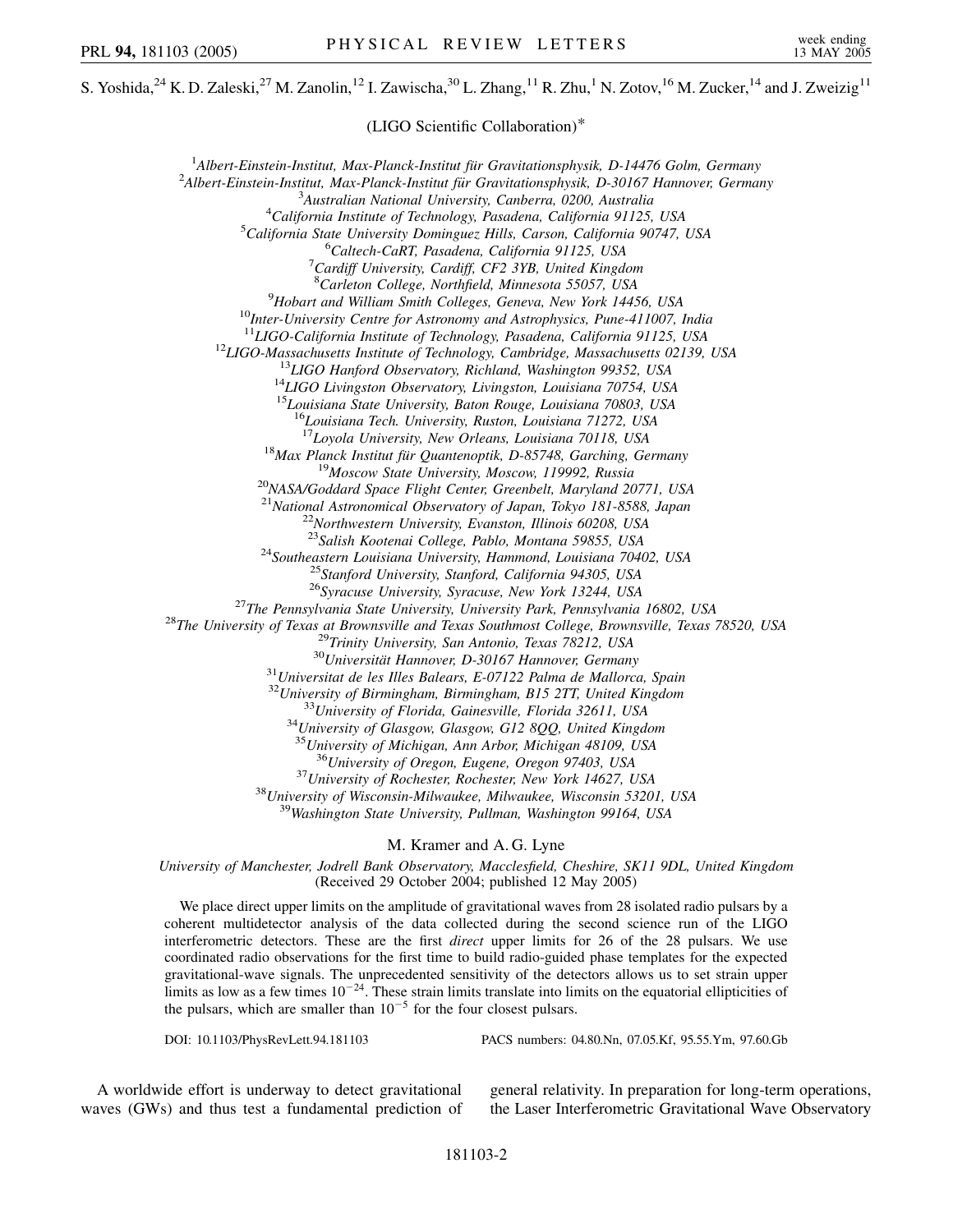S. Yoshida,  $^{24}$  K. D. Zaleski,  $^{27}$  M. Zanolin,  $^{12}$  I. Zawischa,  $^{30}$  L. Zhang,  $^{11}$  R. Zhu,  $^{1}$  N. Zotov,  $^{16}$  M. Zucker,  $^{14}$  and J. Zweizig<sup>11</sup>

(LIGO Scientific Collaboration)\*

<sup>1</sup> Albert-Einstein-Institut, Max-Planck-Institut für Gravitationsphysik, D-14476 Golm, Germany<br><sup>2</sup> Albert Einstein Institut, Max-Planck-Institut für Gravitationsphysik, D-30167 Hannover, Germa <sup>2</sup> Albert-Einstein-Institut, Max-Planck-Institut für Gravitationsphysik, D-30167 Hannover, Germany *Australian National University, Canberra, 0200, Australia* <sup>4</sup> *California Institute of Technology, Pasadena, California 91125, USA* <sup>5</sup> *California State University Dominguez Hills, Carson, California 90747, USA* <sup>6</sup> *Caltech-CaRT, Pasadena, California 91125, USA* <sup>7</sup> *Cardiff University, Cardiff, CF2 3YB, United Kingdom* 8 *Carleton College, Northfield, Minnesota 55057, USA* <sup>9</sup> <sup>9</sup>Hobart and William Smith Colleges, Geneva, New York 14456, USA<br><sup>10</sup>Inter-University Centre for Astronomy and Astrophysics, Pune-411007, India<sup>11</sup>LIGO-California Institute of Technology, Pasadena, California 91125, USA <sup>12</sup>LIGO-Massachusetts Institute of Technology, Cambridge, Massachusetts 02139, USA<br><sup>13</sup>LIGO Hanford Observatory, Richland, Washington 99352, USA<br><sup>14</sup>LIGO Livingston Observatory, Livingston, Louisiana 70754, USA <sup>15</sup>*Louisiana State University, Baton Rouge, Louisiana 70803, USA* <sup>16</sup>*Louisiana Tech. University, Ruston, Louisiana 71272, USA* <sup>18</sup>Max Planck Institut für Quantenoptik, D-85748, Garching, Germany<br><sup>19</sup>Moscow State University, Moscow, 119992, Russia<br><sup>20</sup>NASA/Goddard Space Flight Center, Greenbelt, Maryland 20771, USA <sup>21</sup>*National Astronomical Observatory of Japan, Tokyo 181-8588, Japan* <sup>22</sup>*Northwestern University, Evanston, Illinois 60208, USA* <sup>24</sup>Southeastern Louisiana University, Hammond, Louisiana 70402, USA<br><sup>25</sup>Stanford University, Stanford, California 94305, USA<br><sup>26</sup>Syracuse University, Syracuse, New York 13244, USA<br><sup>27</sup>The Pennsylvania State University, U <sup>32</sup>*University of Birmingham, Birmingham, B15 2TT, United Kingdom* <sup>33</sup>*University of Florida, Gainesville, Florida 32611, USA* <sup>34</sup>*University of Glasgow, Glasgow, G12 8QQ, United Kingdom* <sup>35</sup>*University of Michigan, Ann Arbor, Michigan 48109, USA*  $^{37}$ University of Rochester, Rochester, New York 14627, USA<br> $^{38}$ University of Wisconsin-Milwaukee, Milwaukee, Wisconsin 53201, USA<br> $^{39}$ Washington State University, Pullman, Washington 99164, USA

M. Kramer and A. G. Lyne

*University of Manchester, Jodrell Bank Observatory, Macclesfield, Cheshire, SK11 9DL, United Kingdom* (Received 29 October 2004; published 12 May 2005)

We place direct upper limits on the amplitude of gravitational waves from 28 isolated radio pulsars by a coherent multidetector analysis of the data collected during the second science run of the LIGO interferometric detectors. These are the first *direct* upper limits for 26 of the 28 pulsars. We use coordinated radio observations for the first time to build radio-guided phase templates for the expected gravitational-wave signals. The unprecedented sensitivity of the detectors allows us to set strain upper limits as low as a few times  $10^{-24}$ . These strain limits translate into limits on the equatorial ellipticities of the pulsars, which are smaller than  $10^{-5}$  for the four closest pulsars.

DOI: 10.1103/PhysRevLett.94.181103 PACS numbers: 04.80.Nn, 07.05.Kf, 95.55.Ym, 97.60.Gb

A worldwide effort is underway to detect gravitational waves (GWs) and thus test a fundamental prediction of

general relativity. In preparation for long-term operations, the Laser Interferometric Gravitational Wave Observatory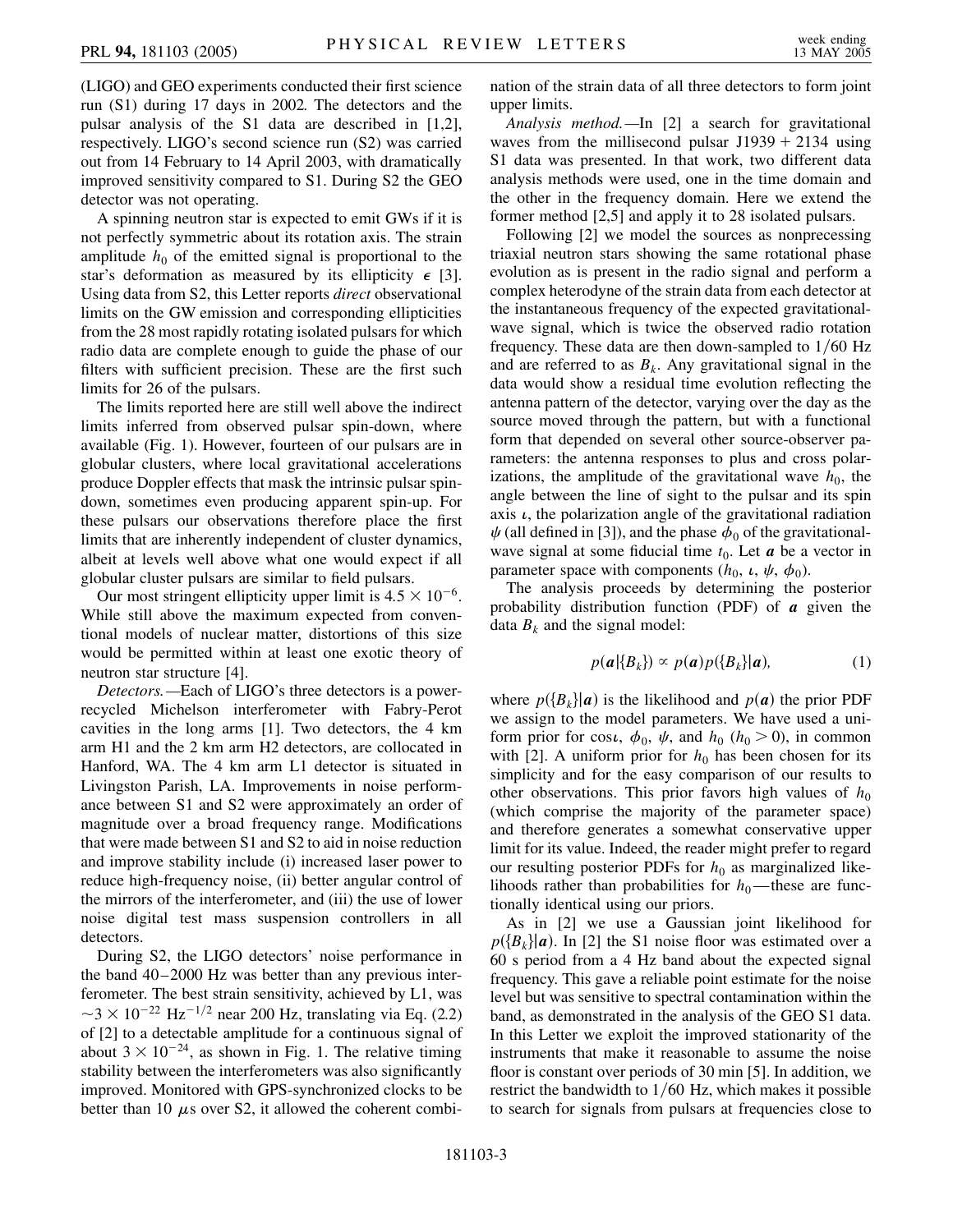(LIGO) and GEO experiments conducted their first science run (S1) during 17 days in 2002. The detectors and the pulsar analysis of the S1 data are described in [1,2], respectively. LIGO's second science run (S2) was carried out from 14 February to 14 April 2003, with dramatically improved sensitivity compared to S1. During S2 the GEO detector was not operating.

A spinning neutron star is expected to emit GWs if it is not perfectly symmetric about its rotation axis. The strain amplitude  $h_0$  of the emitted signal is proportional to the star's deformation as measured by its ellipticity  $\epsilon$  [3]. Using data from S2, this Letter reports *direct* observational limits on the GW emission and corresponding ellipticities from the 28 most rapidly rotating isolated pulsars for which radio data are complete enough to guide the phase of our filters with sufficient precision. These are the first such limits for 26 of the pulsars.

The limits reported here are still well above the indirect limits inferred from observed pulsar spin-down, where available (Fig. 1). However, fourteen of our pulsars are in globular clusters, where local gravitational accelerations produce Doppler effects that mask the intrinsic pulsar spindown, sometimes even producing apparent spin-up. For these pulsars our observations therefore place the first limits that are inherently independent of cluster dynamics, albeit at levels well above what one would expect if all globular cluster pulsars are similar to field pulsars.

Our most stringent ellipticity upper limit is  $4.5 \times 10^{-6}$ . While still above the maximum expected from conventional models of nuclear matter, distortions of this size would be permitted within at least one exotic theory of neutron star structure [4].

*Detectors.—*Each of LIGO's three detectors is a powerrecycled Michelson interferometer with Fabry-Perot cavities in the long arms [1]. Two detectors, the 4 km arm H1 and the 2 km arm H2 detectors, are collocated in Hanford, WA. The 4 km arm L1 detector is situated in Livingston Parish, LA. Improvements in noise performance between S1 and S2 were approximately an order of magnitude over a broad frequency range. Modifications that were made between S1 and S2 to aid in noise reduction and improve stability include (i) increased laser power to reduce high-frequency noise, (ii) better angular control of the mirrors of the interferometer, and (iii) the use of lower noise digital test mass suspension controllers in all detectors.

During S2, the LIGO detectors' noise performance in the band 40–2000 Hz was better than any previous interferometer. The best strain sensitivity, achieved by L1, was  $\sim$ 3 × 10<sup>-22</sup> Hz<sup>-1/2</sup> near 200 Hz, translating via Eq. (2.2) of [2] to a detectable amplitude for a continuous signal of about  $3 \times 10^{-24}$ , as shown in Fig. 1. The relative timing stability between the interferometers was also significantly improved. Monitored with GPS-synchronized clocks to be better than 10  $\mu$ s over S2, it allowed the coherent combination of the strain data of all three detectors to form joint upper limits.

*Analysis method.—*In [2] a search for gravitational waves from the millisecond pulsar  $J1939 + 2134$  using S1 data was presented. In that work, two different data analysis methods were used, one in the time domain and the other in the frequency domain. Here we extend the former method [2,5] and apply it to 28 isolated pulsars.

Following [2] we model the sources as nonprecessing triaxial neutron stars showing the same rotational phase evolution as is present in the radio signal and perform a complex heterodyne of the strain data from each detector at the instantaneous frequency of the expected gravitationalwave signal, which is twice the observed radio rotation frequency. These data are then down-sampled to  $1/60$  Hz and are referred to as  $B_k$ . Any gravitational signal in the data would show a residual time evolution reflecting the antenna pattern of the detector, varying over the day as the source moved through the pattern, but with a functional form that depended on several other source-observer parameters: the antenna responses to plus and cross polarizations, the amplitude of the gravitational wave  $h_0$ , the angle between the line of sight to the pulsar and its spin axis  $\iota$ , the polarization angle of the gravitational radiation  $\psi$  (all defined in [3]), and the phase  $\phi_0$  of the gravitationalwave signal at some fiducial time  $t_0$ . Let  $\boldsymbol{a}$  be a vector in parameter space with components  $(h_0, \iota, \psi, \phi_0)$ .

The analysis proceeds by determining the posterior probability distribution function (PDF) of *a* given the data  $B_k$  and the signal model:

$$
p(\boldsymbol{a}|\{B_k\}) \propto p(\boldsymbol{a})p(\{B_k\}|\boldsymbol{a}), \qquad (1)
$$

where  $p({B_k}|a)$  is the likelihood and  $p(a)$  the prior PDF we assign to the model parameters. We have used a uniform prior for cost,  $\phi_0$ ,  $\psi$ , and  $h_0$  ( $h_0 > 0$ ), in common with [2]. A uniform prior for  $h_0$  has been chosen for its simplicity and for the easy comparison of our results to other observations. This prior favors high values of  $h_0$ (which comprise the majority of the parameter space) and therefore generates a somewhat conservative upper limit for its value. Indeed, the reader might prefer to regard our resulting posterior PDFs for  $h_0$  as marginalized likelihoods rather than probabilities for  $h_0$ —these are functionally identical using our priors.

As in [2] we use a Gaussian joint likelihood for  $p({B_k}|a)$ . In [2] the S1 noise floor was estimated over a 60 s period from a 4 Hz band about the expected signal frequency. This gave a reliable point estimate for the noise level but was sensitive to spectral contamination within the band, as demonstrated in the analysis of the GEO S1 data. In this Letter we exploit the improved stationarity of the instruments that make it reasonable to assume the noise floor is constant over periods of 30 min [5]. In addition, we restrict the bandwidth to  $1/60$  Hz, which makes it possible to search for signals from pulsars at frequencies close to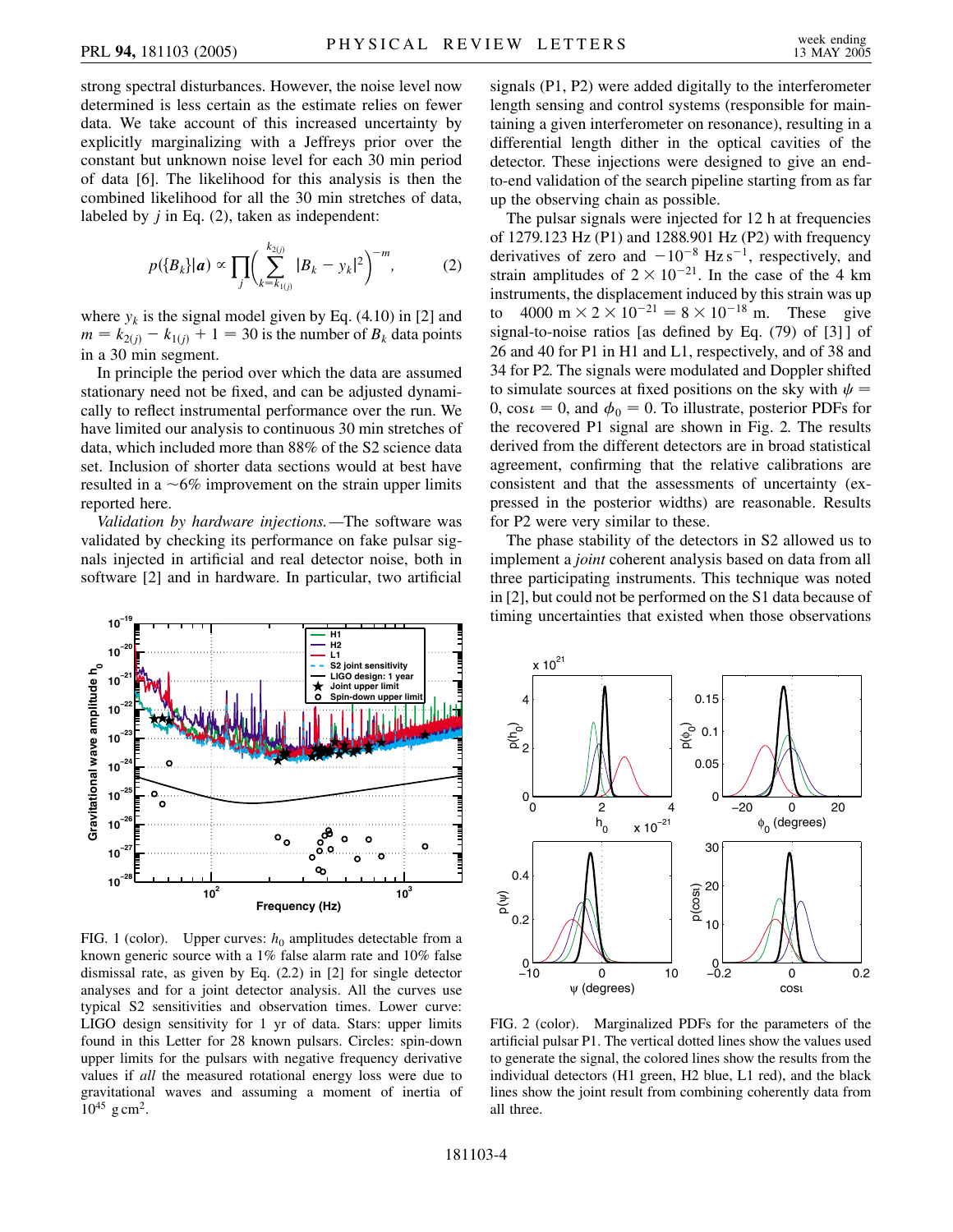strong spectral disturbances. However, the noise level now determined is less certain as the estimate relies on fewer data. We take account of this increased uncertainty by explicitly marginalizing with a Jeffreys prior over the constant but unknown noise level for each 30 min period of data [6]. The likelihood for this analysis is then the combined likelihood for all the 30 min stretches of data, labeled by *j* in Eq. (2), taken as independent:

$$
p({B_k}|a) \propto \prod_j \left(\sum_{k=k_{1(j)}}^{k_{2(j)}} |B_k - y_k|^2\right)^{-m},\tag{2}
$$

where  $y_k$  is the signal model given by Eq. (4.10) in [2] and  $m = k_{2(i)} - k_{1(i)} + 1 = 30$  is the number of  $B_k$  data points in a 30 min segment.

In principle the period over which the data are assumed stationary need not be fixed, and can be adjusted dynamically to reflect instrumental performance over the run. We have limited our analysis to continuous 30 min stretches of data, which included more than 88% of the S2 science data set. Inclusion of shorter data sections would at best have resulted in a  $\sim 6\%$  improvement on the strain upper limits reported here.

*Validation by hardware injections.—*The software was validated by checking its performance on fake pulsar signals injected in artificial and real detector noise, both in software [2] and in hardware. In particular, two artificial



FIG. 1 (color). Upper curves:  $h_0$  amplitudes detectable from a known generic source with a 1% false alarm rate and 10% false dismissal rate, as given by Eq. (2.2) in [2] for single detector analyses and for a joint detector analysis. All the curves use typical S2 sensitivities and observation times. Lower curve: LIGO design sensitivity for 1 yr of data. Stars: upper limits found in this Letter for 28 known pulsars. Circles: spin-down upper limits for the pulsars with negative frequency derivative values if *all* the measured rotational energy loss were due to gravitational waves and assuming a moment of inertia of  $10^{45}$  g cm<sup>2</sup>.

signals (P1, P2) were added digitally to the interferometer length sensing and control systems (responsible for maintaining a given interferometer on resonance), resulting in a differential length dither in the optical cavities of the detector. These injections were designed to give an endto-end validation of the search pipeline starting from as far up the observing chain as possible.

The pulsar signals were injected for 12 h at frequencies of 1279.123 Hz (P1) and 1288.901 Hz (P2) with frequency derivatives of zero and  $-10^{-8}$  Hz s<sup>-1</sup>, respectively, and strain amplitudes of  $2 \times 10^{-21}$ . In the case of the 4 km instruments, the displacement induced by this strain was up to  $4000 \text{ m} \times 2 \times 10^{-21} = 8 \times 10^{-18} \text{ m}$ . These give signal-to-noise ratios [as defined by Eq. (79) of [3] ] of 26 and 40 for P1 in H1 and L1, respectively, and of 38 and 34 for P2. The signals were modulated and Doppler shifted to simulate sources at fixed positions on the sky with  $\psi =$  $0, \cos \iota = 0$ , and  $\phi_0 = 0$ . To illustrate, posterior PDFs for the recovered P1 signal are shown in Fig. 2. The results derived from the different detectors are in broad statistical agreement, confirming that the relative calibrations are consistent and that the assessments of uncertainty (expressed in the posterior widths) are reasonable. Results for P2 were very similar to these.

The phase stability of the detectors in S2 allowed us to implement a *joint* coherent analysis based on data from all three participating instruments. This technique was noted in [2], but could not be performed on the S1 data because of timing uncertainties that existed when those observations



FIG. 2 (color). Marginalized PDFs for the parameters of the artificial pulsar P1. The vertical dotted lines show the values used to generate the signal, the colored lines show the results from the individual detectors (H1 green, H2 blue, L1 red), and the black lines show the joint result from combining coherently data from all three.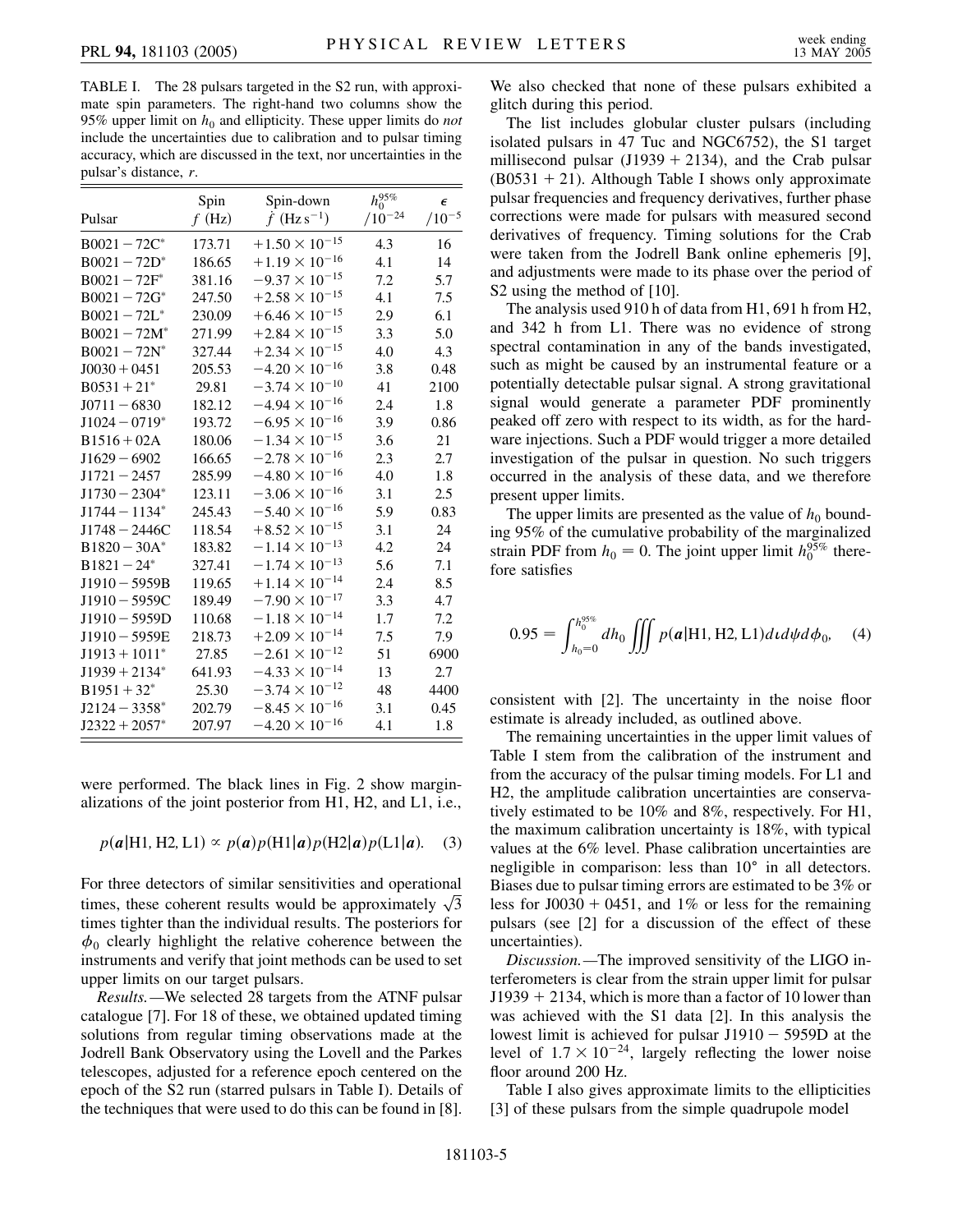TABLE I. The 28 pulsars targeted in the S2 run, with approximate spin parameters. The right-hand two columns show the 95% upper limit on *h*<sup>0</sup> and ellipticity. These upper limits do *not* include the uncertainties due to calibration and to pulsar timing accuracy, which are discussed in the text, nor uncertainties in the pulsar's distance, *r*.

|                  | Spin   | Spin-down                       | $h_0^{95\%}$ | $\epsilon$ |
|------------------|--------|---------------------------------|--------------|------------|
| Pulsar           | f(Hz)  | $\dot{f}$ (Hz s <sup>-1</sup> ) | $/10^{-24}$  | $/10^{-5}$ |
| $B0021 - 72C^*$  | 173.71 | $+1.50 \times 10^{-15}$         | 4.3          | 16         |
| $B0021 - 72D^*$  | 186.65 | $+1.19 \times 10^{-16}$         | 4.1          | 14         |
| $B0021 - 72F^*$  | 381.16 | $-9.37 \times 10^{-15}$         | 7.2          | 5.7        |
| $B0021 - 72G^*$  | 247.50 | $+2.58 \times 10^{-15}$         | 4.1          | 7.5        |
| $B0021 - 72L^*$  | 230.09 | $+6.46 \times 10^{-15}$         | 2.9          | 6.1        |
| $B0021 - 72M^*$  | 271.99 | $+2.84 \times 10^{-15}$         | 3.3          | 5.0        |
| $B0021 - 72N^*$  | 327.44 | $+2.34 \times 10^{-15}$         | 4.0          | 4.3        |
| $J0030 + 0451$   | 205.53 | $-4.20 \times 10^{-16}$         | 3.8          | 0.48       |
| $B0531 + 21^*$   | 29.81  | $-3.74 \times 10^{-10}$         | 41           | 2100       |
| $J0711 - 6830$   | 182.12 | $-4.94 \times 10^{-16}$         | 2.4          | 1.8        |
| $J1024 - 0719*$  | 193.72 | $-6.95 \times 10^{-16}$         | 3.9          | 0.86       |
| $B1516 + 02A$    | 180.06 | $-1.34 \times 10^{-15}$         | 3.6          | 21         |
| $J1629 - 6902$   | 166.65 | $-2.78 \times 10^{-16}$         | 2.3          | 2.7        |
| $J1721 - 2457$   | 285.99 | $-4.80 \times 10^{-16}$         | 4.0          | 1.8        |
| $J1730 - 2304*$  | 123.11 | $-3.06 \times 10^{-16}$         | 3.1          | 2.5        |
| $J1744 - 1134^*$ | 245.43 | $-5.40 \times 10^{-16}$         | 5.9          | 0.83       |
| $J1748 - 2446C$  | 118.54 | $+8.52 \times 10^{-15}$         | 3.1          | 24         |
| $B1820 - 30A^*$  | 183.82 | $-1.14 \times 10^{-13}$         | 4.2          | 24         |
| $B1821 - 24^*$   | 327.41 | $-1.74 \times 10^{-13}$         | 5.6          | 7.1        |
| $J1910 - 5959B$  | 119.65 | $+1.14 \times 10^{-14}$         | 2.4          | 8.5        |
| $J1910 - 5959C$  | 189.49 | $-7.90 \times 10^{-17}$         | 3.3          | 4.7        |
| $J1910 - 5959D$  | 110.68 | $-1.18 \times 10^{-14}$         | 1.7          | 7.2        |
| $J1910 - 5959E$  | 218.73 | $+2.09 \times 10^{-14}$         | 7.5          | 7.9        |
| $J1913 + 1011*$  | 27.85  | $-2.61 \times 10^{-12}$         | 51           | 6900       |
| $J1939 + 2134^*$ | 641.93 | $-4.33 \times 10^{-14}$         | 13           | 2.7        |
| $B1951 + 32^*$   | 25.30  | $-3.74 \times 10^{-12}$         | 48           | 4400       |
| $J2124 - 3358^*$ | 202.79 | $-8.45 \times 10^{-16}$         | 3.1          | 0.45       |
| $J2322 + 2057^*$ | 207.97 | $-4.20 \times 10^{-16}$         | 4.1          | 1.8        |

were performed. The black lines in Fig. 2 show marginalizations of the joint posterior from H1, H2, and L1, i.e.,

$$
p(\mathbf{a}|H1, H2, L1) \propto p(\mathbf{a})p(H1|\mathbf{a})p(H2|\mathbf{a})p(L1|\mathbf{a}).
$$
 (3)

For three detectors of similar sensitivities and operational times, these coherent results would be approximately  $\sqrt{3}$ times tighter than the individual results. The posteriors for  $\phi_0$  clearly highlight the relative coherence between the instruments and verify that joint methods can be used to set upper limits on our target pulsars.

*Results.—*We selected 28 targets from the ATNF pulsar catalogue [7]. For 18 of these, we obtained updated timing solutions from regular timing observations made at the Jodrell Bank Observatory using the Lovell and the Parkes telescopes, adjusted for a reference epoch centered on the epoch of the S2 run (starred pulsars in Table I). Details of the techniques that were used to do this can be found in [8]. We also checked that none of these pulsars exhibited a glitch during this period.

The list includes globular cluster pulsars (including isolated pulsars in 47 Tuc and NGC6752), the S1 target millisecond pulsar  $(J1939 + 2134)$ , and the Crab pulsar  $(B0531 + 21)$ . Although Table I shows only approximate pulsar frequencies and frequency derivatives, further phase corrections were made for pulsars with measured second derivatives of frequency. Timing solutions for the Crab were taken from the Jodrell Bank online ephemeris [9], and adjustments were made to its phase over the period of S<sub>2</sub> using the method of [10].

The analysis used 910 h of data from H1, 691 h from H2, and 342 h from L1. There was no evidence of strong spectral contamination in any of the bands investigated, such as might be caused by an instrumental feature or a potentially detectable pulsar signal. A strong gravitational signal would generate a parameter PDF prominently peaked off zero with respect to its width, as for the hardware injections. Such a PDF would trigger a more detailed investigation of the pulsar in question. No such triggers occurred in the analysis of these data, and we therefore present upper limits.

The upper limits are presented as the value of  $h_0$  bounding 95% of the cumulative probability of the marginalized strain PDF from  $h_0 = 0$ . The joint upper limit  $h_0^{95\%}$  therefore satisfies

$$
0.95 = \int_{h_0=0}^{h_0^{95\%}} dh_0 \iiint p(\mathbf{a}|H1, H2, L1) dt d\psi d\phi_0, \quad (4)
$$

consistent with [2]. The uncertainty in the noise floor estimate is already included, as outlined above.

The remaining uncertainties in the upper limit values of Table I stem from the calibration of the instrument and from the accuracy of the pulsar timing models. For L1 and H2, the amplitude calibration uncertainties are conservatively estimated to be 10% and 8%, respectively. For H1, the maximum calibration uncertainty is 18%, with typical values at the 6% level. Phase calibration uncertainties are negligible in comparison: less than  $10^{\circ}$  in all detectors. Biases due to pulsar timing errors are estimated to be 3% or less for  $J0030 + 0451$ , and 1% or less for the remaining pulsars (see [2] for a discussion of the effect of these uncertainties).

*Discussion.—*The improved sensitivity of the LIGO interferometers is clear from the strain upper limit for pulsar  $J1939 + 2134$ , which is more than a factor of 10 lower than was achieved with the S1 data [2]. In this analysis the lowest limit is achieved for pulsar  $J1910 - 5959D$  at the level of  $1.7 \times 10^{-24}$ , largely reflecting the lower noise floor around 200 Hz.

Table I also gives approximate limits to the ellipticities [3] of these pulsars from the simple quadrupole model